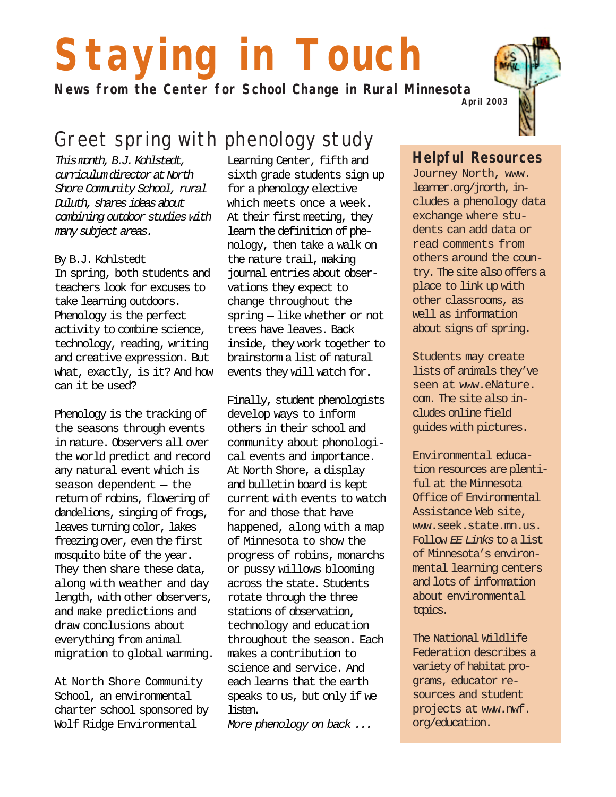# **Staying in Touch**

**News from the Center for School Change in Rural Minnesota**

# Greet spring with phenology study

This month, B.J. Kohlstedt, curriculum director at North Shore Community School, rural Duluth, shares ideas about combining outdoor studies with many subject areas.

#### By B.J. Kohlstedt

In spring, both students and teachers look for excuses to take learning outdoors. Phenology is the perfect activity to combine science, technology, reading, writing and creative expression. But what, exactly, is it? And how can it be used?

Phenology is the tracking of the seasons through events in nature. Observers all over the world predict and record any natural event which is season dependent — the return of robins, flowering of dandelions, singing of frogs, leaves turning color, lakes freezing over, even the first mosquito bite of the year. They then share these data, along with weather and day length, with other observers, and make predictions and draw conclusions about everything from animal migration to global warming.

At North Shore Community School, an environmental charter school sponsored by Wolf Ridge Environmental

Learning Center, fifth and sixth grade students sign up for a phenology elective which meets once a week. At their first meeting, they learn the definition of phenology, then take a walk on the nature trail, making journal entries about observations they expect to change throughout the spring — like whether or not trees have leaves. Back inside, they work together to brainstorm a list of natural events they will watch for.

Finally, student phenologists develop ways to inform others in their school and community about phonological events and importance. At North Shore, a display and bulletin board is kept current with events to watch for and those that have happened, along with a map of Minnesota to show the progress of robins, monarchs or pussy willows blooming across the state. Students rotate through the three stations of observation, technology and education throughout the season. Each makes a contribution to science and service. And each learns that the earth speaks to us, but only if we listen.

More phenology on back ...

#### **Helpful Resources**

Journey North, www. learner.org/jnorth, includes a phenology data exchange where students can add data or read comments from others around the country. The site also offers a place to link up with other classrooms, as well as information about signs of spring.

Students may create lists of animals they've seen at www.eNature. com. The site also includes online field guides with pictures.

Environmental education resources are plentiful at the Minnesota Office of Environmental Assistance Web site, www.seek.state.mn.us. Follow EE Links to a list of Minnesota's environmental learning centers and lots of information about environmental topics.

The National Wildlife Federation describes a variety of habitat programs, educator resources and student projects at www.nwf. org/education.